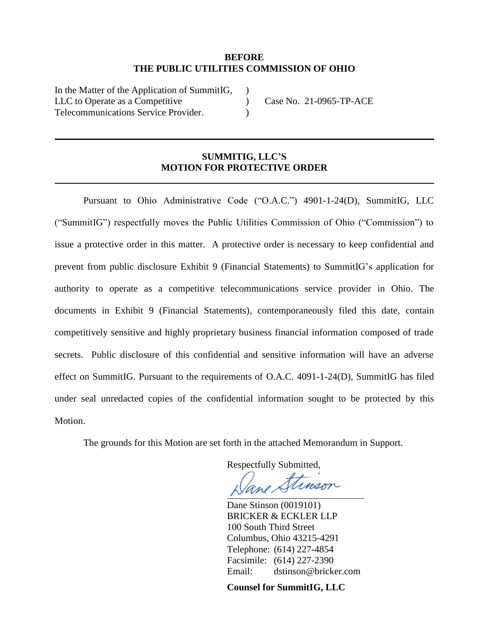# **BEFORE THE PUBLIC UTILITIES COMMISSION OF OHIO**

) )  $\lambda$ 

In the Matter of the Application of SummitIG, LLC to Operate as a Competitive Telecommunications Service Provider.

Case No. 21-0965-TP-ACE

#### **SUMMITIG, LLC'S MOTION FOR PROTECTIVE ORDER**

Pursuant to Ohio Administrative Code ("O.A.C.") 4901-1-24(D), SummitIG, LLC ("SummitIG") respectfully moves the Public Utilities Commission of Ohio ("Commission") to issue a protective order in this matter. A protective order is necessary to keep confidential and prevent from public disclosure Exhibit 9 (Financial Statements) to SummitIG's application for authority to operate as a competitive telecommunications service provider in Ohio. The documents in Exhibit 9 (Financial Statements), contemporaneously filed this date, contain competitively sensitive and highly proprietary business financial information composed of trade secrets. Public disclosure of this confidential and sensitive information will have an adverse effect on SummitIG. Pursuant to the requirements of O.A.C. 4091-1-24(D), SummitIG has filed under seal unredacted copies of the confidential information sought to be protected by this Motion.

The grounds for this Motion are set forth in the attached Memorandum in Support.

Respectfully Submitted,

inson

Dane Stinson (0019101) BRICKER & ECKLER LLP 100 South Third Street Columbus, Ohio 43215-4291 Telephone: (614) 227-4854 Facsimile: (614) 227-2390 Email: dstinson@bricker.com

**Counsel for SummitIG, LLC**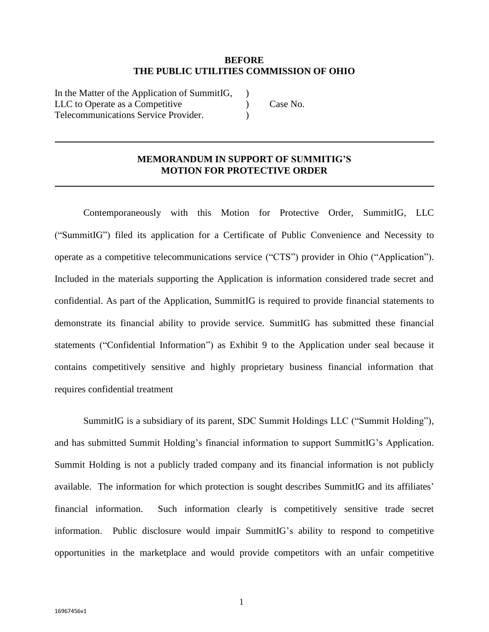#### **BEFORE THE PUBLIC UTILITIES COMMISSION OF OHIO**

In the Matter of the Application of SummitIG, LLC to Operate as a Competitive Telecommunications Service Provider. )  $\lambda$  $\lambda$ 

Case No.

# **MEMORANDUM IN SUPPORT OF SUMMITIG'S MOTION FOR PROTECTIVE ORDER**

Contemporaneously with this Motion for Protective Order, SummitIG, LLC ("SummitIG") filed its application for a Certificate of Public Convenience and Necessity to operate as a competitive telecommunications service ("CTS") provider in Ohio ("Application"). Included in the materials supporting the Application is information considered trade secret and confidential. As part of the Application, SummitIG is required to provide financial statements to demonstrate its financial ability to provide service. SummitIG has submitted these financial statements ("Confidential Information") as Exhibit 9 to the Application under seal because it contains competitively sensitive and highly proprietary business financial information that requires confidential treatment

SummitIG is a subsidiary of its parent, SDC Summit Holdings LLC ("Summit Holding"), and has submitted Summit Holding's financial information to support SummitIG's Application. Summit Holding is not a publicly traded company and its financial information is not publicly available. The information for which protection is sought describes SummitIG and its affiliates' financial information. Such information clearly is competitively sensitive trade secret information. Public disclosure would impair SummitIG's ability to respond to competitive opportunities in the marketplace and would provide competitors with an unfair competitive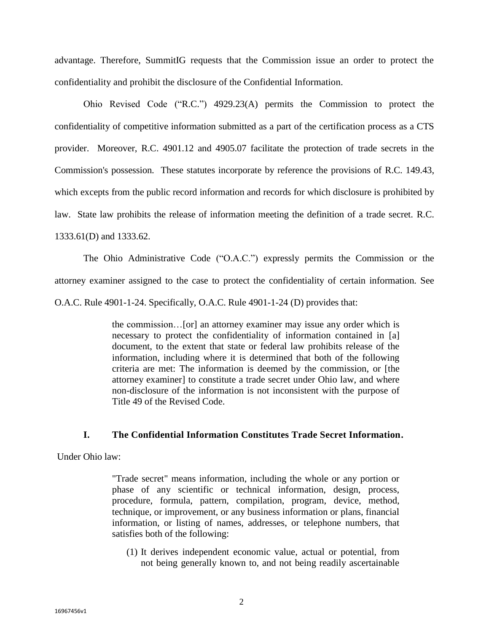advantage. Therefore, SummitIG requests that the Commission issue an order to protect the confidentiality and prohibit the disclosure of the Confidential Information.

Ohio Revised Code ("R.C.") 4929.23(A) permits the Commission to protect the confidentiality of competitive information submitted as a part of the certification process as a CTS provider. Moreover, R.C. 4901.12 and 4905.07 facilitate the protection of trade secrets in the Commission's possession. These statutes incorporate by reference the provisions of R.C. 149.43, which excepts from the public record information and records for which disclosure is prohibited by law. State law prohibits the release of information meeting the definition of a trade secret. R.C. 1333.61(D) and 1333.62.

The Ohio Administrative Code ("O.A.C.") expressly permits the Commission or the attorney examiner assigned to the case to protect the confidentiality of certain information. See O.A.C. Rule 4901-1-24. Specifically, O.A.C. Rule 4901-1-24 (D) provides that:

> the commission…[or] an attorney examiner may issue any order which is necessary to protect the confidentiality of information contained in [a] document, to the extent that state or federal law prohibits release of the information, including where it is determined that both of the following criteria are met: The information is deemed by the commission, or [the attorney examiner] to constitute a trade secret under Ohio law, and where non-disclosure of the information is not inconsistent with the purpose of Title 49 of the Revised Code.

# **I. The Confidential Information Constitutes Trade Secret Information.**

Under Ohio law:

"Trade secret" means information, including the whole or any portion or phase of any scientific or technical information, design, process, procedure, formula, pattern, compilation, program, device, method, technique, or improvement, or any business information or plans, financial information, or listing of names, addresses, or telephone numbers, that satisfies both of the following:

(1) It derives independent economic value, actual or potential, from not being generally known to, and not being readily ascertainable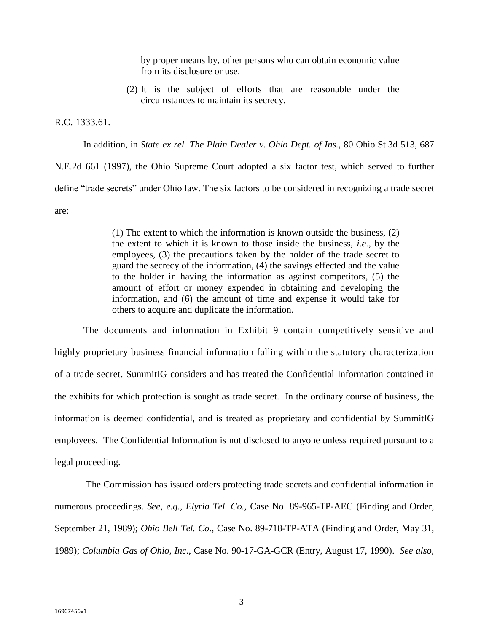by proper means by, other persons who can obtain economic value from its disclosure or use.

(2) It is the subject of efforts that are reasonable under the circumstances to maintain its secrecy.

R.C. 1333.61.

In addition, in *State ex rel. The Plain Dealer v. Ohio Dept. of Ins.*, 80 Ohio St.3d 513, 687 N.E.2d 661 (1997), the Ohio Supreme Court adopted a six factor test, which served to further

define "trade secrets" under Ohio law. The six factors to be considered in recognizing a trade secret are:

> (1) The extent to which the information is known outside the business, (2) the extent to which it is known to those inside the business, *i.e.,* by the employees, (3) the precautions taken by the holder of the trade secret to guard the secrecy of the information, (4) the savings effected and the value to the holder in having the information as against competitors, (5) the amount of effort or money expended in obtaining and developing the information, and (6) the amount of time and expense it would take for others to acquire and duplicate the information.

The documents and information in Exhibit 9 contain competitively sensitive and highly proprietary business financial information falling within the statutory characterization of a trade secret. SummitIG considers and has treated the Confidential Information contained in the exhibits for which protection is sought as trade secret. In the ordinary course of business, the information is deemed confidential, and is treated as proprietary and confidential by SummitIG employees. The Confidential Information is not disclosed to anyone unless required pursuant to a legal proceeding.

The Commission has issued orders protecting trade secrets and confidential information in numerous proceedings. *See, e.g., Elyria Tel. Co.,* Case No. 89-965-TP-AEC (Finding and Order, September 21, 1989); *Ohio Bell Tel. Co.,* Case No. 89-718-TP-ATA (Finding and Order, May 31, 1989); *Columbia Gas of Ohio, Inc.,* Case No. 90-17-GA-GCR (Entry, August 17, 1990). *See also,*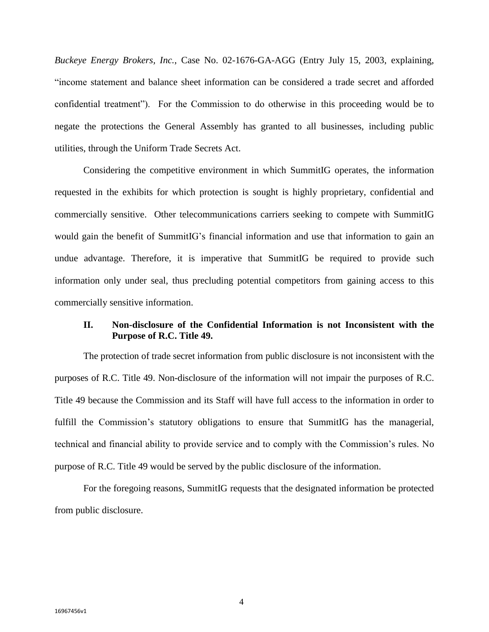*Buckeye Energy Brokers, Inc.*, Case No. 02-1676-GA-AGG (Entry July 15, 2003, explaining, "income statement and balance sheet information can be considered a trade secret and afforded confidential treatment"). For the Commission to do otherwise in this proceeding would be to negate the protections the General Assembly has granted to all businesses, including public utilities, through the Uniform Trade Secrets Act.

Considering the competitive environment in which SummitIG operates, the information requested in the exhibits for which protection is sought is highly proprietary, confidential and commercially sensitive. Other telecommunications carriers seeking to compete with SummitIG would gain the benefit of SummitIG's financial information and use that information to gain an undue advantage. Therefore, it is imperative that SummitIG be required to provide such information only under seal, thus precluding potential competitors from gaining access to this commercially sensitive information.

# **II. Non-disclosure of the Confidential Information is not Inconsistent with the Purpose of R.C. Title 49.**

The protection of trade secret information from public disclosure is not inconsistent with the purposes of R.C. Title 49. Non-disclosure of the information will not impair the purposes of R.C. Title 49 because the Commission and its Staff will have full access to the information in order to fulfill the Commission's statutory obligations to ensure that SummitIG has the managerial, technical and financial ability to provide service and to comply with the Commission's rules. No purpose of R.C. Title 49 would be served by the public disclosure of the information.

For the foregoing reasons, SummitIG requests that the designated information be protected from public disclosure.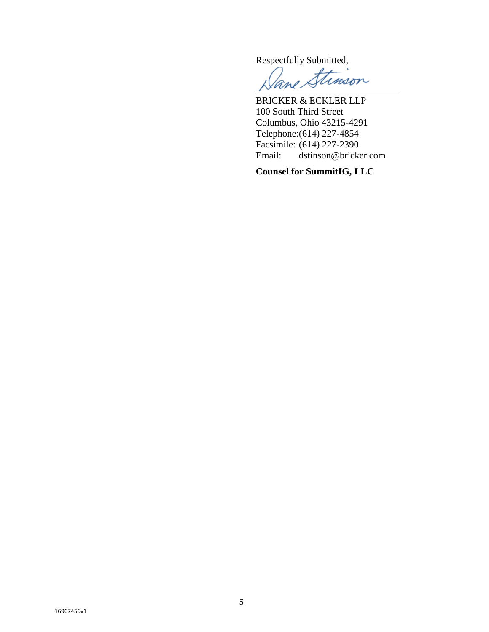Respectfully Submitted,

ane Stimson

BRICKER & ECKLER LLP 100 South Third Street Columbus, Ohio 43215-4291 Telephone:(614) 227-4854 Facsimile: (614) 227-2390<br>Email: dstinson@bricke dstinson@bricker.com

**Counsel for SummitIG, LLC**